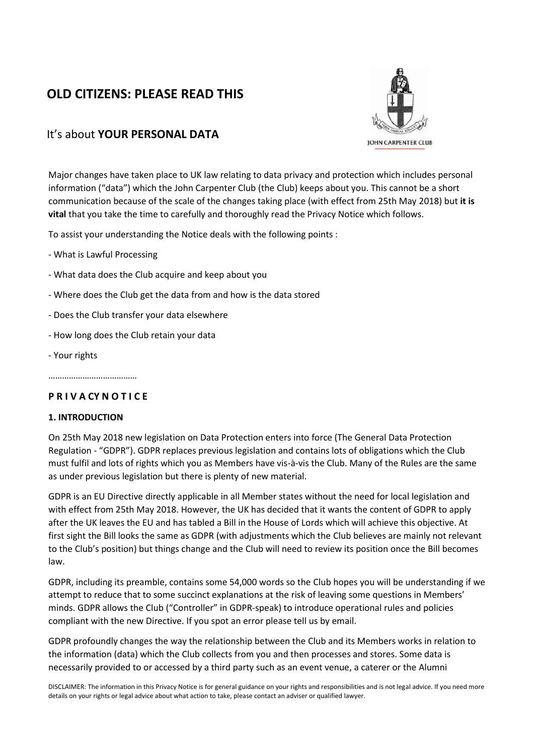# **OLD CITIZENS: PLEASE READ THIS**



## It's about **YOUR PERSONAL DATA**

Major changes have taken place to UK law relating to data privacy and protection which includes personal information ("data") which the John Carpenter Club (the Club) keeps about you. This cannot be a short communication because of the scale of the changes taking place (with effect from 25th May 2018) but **it is vital** that you take the time to carefully and thoroughly read the Privacy Notice which follows.

To assist your understanding the Notice deals with the following points :

- What is Lawful Processing
- What data does the Club acquire and keep about you
- Where does the Club get the data from and how is the data stored
- Does the Club transfer your data elsewhere
- How long does the Club retain your data
- Your rights

…………………………………

## **P R I V A CY N O T I C E**

### **1. INTRODUCTION**

On 25th May 2018 new legislation on Data Protection enters into force (The General Data Protection Regulation - "GDPR"). GDPR replaces previous legislation and contains lots of obligations which the Club must fulfil and lots of rights which you as Members have vis-à-vis the Club. Many of the Rules are the same as under previous legislation but there is plenty of new material.

GDPR is an EU Directive directly applicable in all Member states without the need for local legislation and with effect from 25th May 2018. However, the UK has decided that it wants the content of GDPR to apply after the UK leaves the EU and has tabled a Bill in the House of Lords which will achieve this objective. At first sight the Bill looks the same as GDPR (with adjustments which the Club believes are mainly not relevant to the Club's position) but things change and the Club will need to review its position once the Bill becomes law.

GDPR, including its preamble, contains some 54,000 words so the Club hopes you will be understanding if we attempt to reduce that to some succinct explanations at the risk of leaving some questions in Members' minds. GDPR allows the Club ("Controller" in GDPR-speak) to introduce operational rules and policies compliant with the new Directive. If you spot an error please tell us by email.

GDPR profoundly changes the way the relationship between the Club and its Members works in relation to the information (data) which the Club collects from you and then processes and stores. Some data is necessarily provided to or accessed by a third party such as an event venue, a caterer or the Alumni

DISCLAIMER: The information in this Privacy Notice is for general guidance on your rights and responsibilities and is not legal advice. If you need more details on your rights or legal advice about what action to take, please contact an adviser or qualified lawyer.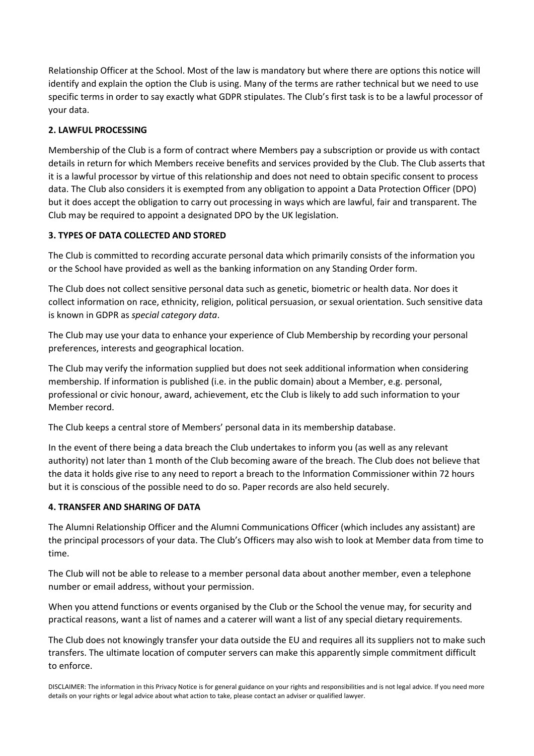Relationship Officer at the School. Most of the law is mandatory but where there are options this notice will identify and explain the option the Club is using. Many of the terms are rather technical but we need to use specific terms in order to say exactly what GDPR stipulates. The Club's first task is to be a lawful processor of your data.

## **2. LAWFUL PROCESSING**

Membership of the Club is a form of contract where Members pay a subscription or provide us with contact details in return for which Members receive benefits and services provided by the Club. The Club asserts that it is a lawful processor by virtue of this relationship and does not need to obtain specific consent to process data. The Club also considers it is exempted from any obligation to appoint a Data Protection Officer (DPO) but it does accept the obligation to carry out processing in ways which are lawful, fair and transparent. The Club may be required to appoint a designated DPO by the UK legislation.

## **3. TYPES OF DATA COLLECTED AND STORED**

The Club is committed to recording accurate personal data which primarily consists of the information you or the School have provided as well as the banking information on any Standing Order form.

The Club does not collect sensitive personal data such as genetic, biometric or health data. Nor does it collect information on race, ethnicity, religion, political persuasion, or sexual orientation. Such sensitive data is known in GDPR as *special category data*.

The Club may use your data to enhance your experience of Club Membership by recording your personal preferences, interests and geographical location.

The Club may verify the information supplied but does not seek additional information when considering membership. If information is published (i.e. in the public domain) about a Member, e.g. personal, professional or civic honour, award, achievement, etc the Club is likely to add such information to your Member record.

The Club keeps a central store of Members' personal data in its membership database.

In the event of there being a data breach the Club undertakes to inform you (as well as any relevant authority) not later than 1 month of the Club becoming aware of the breach. The Club does not believe that the data it holds give rise to any need to report a breach to the Information Commissioner within 72 hours but it is conscious of the possible need to do so. Paper records are also held securely.

## **4. TRANSFER AND SHARING OF DATA**

The Alumni Relationship Officer and the Alumni Communications Officer (which includes any assistant) are the principal processors of your data. The Club's Officers may also wish to look at Member data from time to time.

The Club will not be able to release to a member personal data about another member, even a telephone number or email address, without your permission.

When you attend functions or events organised by the Club or the School the venue may, for security and practical reasons, want a list of names and a caterer will want a list of any special dietary requirements.

The Club does not knowingly transfer your data outside the EU and requires all its suppliers not to make such transfers. The ultimate location of computer servers can make this apparently simple commitment difficult to enforce.